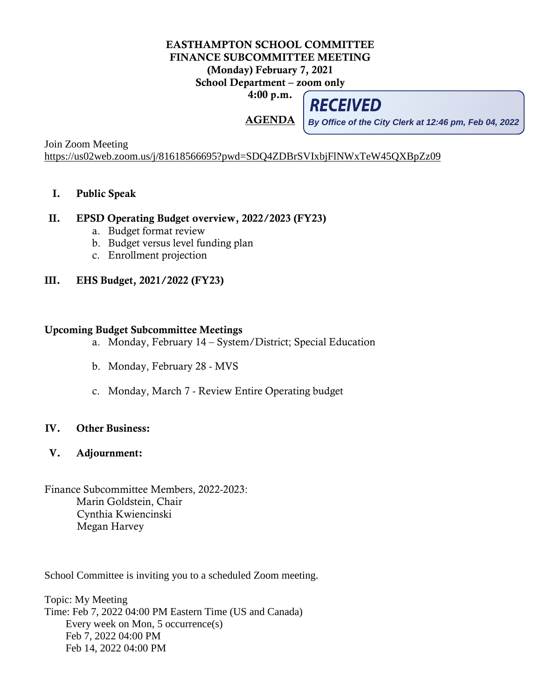## EASTHAMPTON SCHOOL COMMITTEE FINANCE SUBCOMMITTEE MEETING (Monday) February 7, 2021 School Department – zoom only

4:00 p.m.

AGENDA

**RECEIVED** 

**By Office of the City Clerk at 12:46 pm, Feb 04, 2022**

Join Zoom Meeting <https://us02web.zoom.us/j/81618566695?pwd=SDQ4ZDBrSVIxbjFlNWxTeW45QXBpZz09>

I. Public Speak

## II. EPSD Operating Budget overview, 2022/2023 (FY23)

- a. Budget format review
- b. Budget versus level funding plan
- c. Enrollment projection
- III. EHS Budget, 2021/2022 (FY23)

## Upcoming Budget Subcommittee Meetings

- a. Monday, February 14 System/District; Special Education
- b. Monday, February 28 MVS
- c. Monday, March 7 Review Entire Operating budget

## IV. Other Business:

- V. Adjournment:
- Finance Subcommittee Members, 2022-2023: Marin Goldstein, Chair Cynthia Kwiencinski Megan Harvey

School Committee is inviting you to a scheduled Zoom meeting.

Topic: My Meeting Time: Feb 7, 2022 04:00 PM Eastern Time (US and Canada) Every week on Mon, 5 occurrence(s) Feb 7, 2022 04:00 PM Feb 14, 2022 04:00 PM